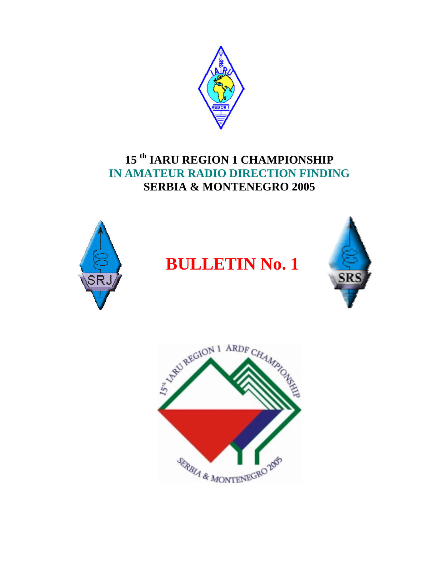

## **15 th IARU REGION 1 CHAMPIONSHIP IN AMATEUR RADIO DIRECTION FINDING SERBIA & MONTENEGRO 2005**



# **BULLETIN No. 1**



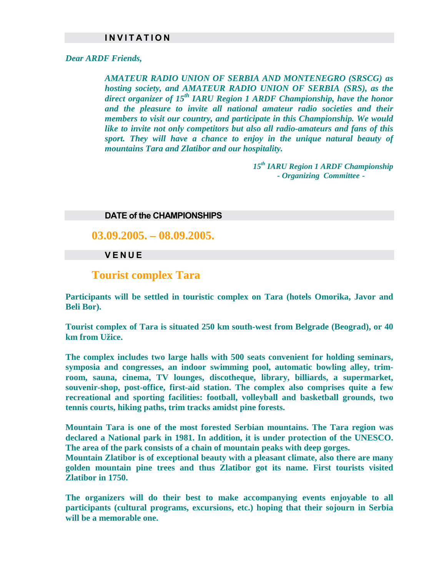### **I N V I T A T I O N**

#### *Dear ARDF Friends,*

*AMATEUR RADIO UNION OF SERBIA AND MONTENEGRO (SRSCG) as hosting society, and AMATEUR RADIO UNION OF SERBIA (SRS), as the*  direct organizer of 15<sup>th</sup> IARU Region 1 ARDF Championship, have the honor *and the pleasure to invite all national amateur radio societies and their members to visit our country, and participate in this Championship. We would like to invite not only competitors but also all radio-amateurs and fans of this sport. They will have a chance to enjoy in the unique natural beauty of mountains Tara and Zlatibor and our hospitality.* 

> *15th IARU Region 1 ARDF Championship - Organizing Committee -*

#### **DATE of the CHAMPIONSHIPS**

**03.09.2005. – 08.09.2005.**

#### **V E N U E**

## **Tourist complex Tara**

**Participants will be settled in touristic complex on Tara (hotels Omorika, Javor and Beli Bor).** 

**Tourist complex of Tara is situated 250 km south-west from Belgrade (Beograd), or 40 km from Užice.** 

**The complex includes two large halls with 500 seats convenient for holding seminars, symposia and congresses, an indoor swimming pool, automatic bowling alley, trimroom, sauna, cinema, TV lounges, discotheque, library, billiards, a supermarket, souvenir-shop, post-office, first-aid station. The complex also comprises quite a few recreational and sporting facilities: football, volleyball and basketball grounds, two tennis courts, hiking paths, trim tracks amidst pine forests.** 

**Mountain Tara is one of the most forested Serbian mountains. The Tara region was declared a National park in 1981. In addition, it is under protection of the UNESCO. The area of the park consists of a chain of mountain peaks with deep gorges.** 

**Mountain Zlatibor is of exceptional beauty with a pleasant climate, also there are many golden mountain pine trees and thus Zlatibor got its name. First tourists visited Zlatibor in 1750.** 

**The organizers will do their best to make accompanying events enjoyable to all participants (cultural programs, excursions, etc.) hoping that their sojourn in Serbia will be a memorable one.**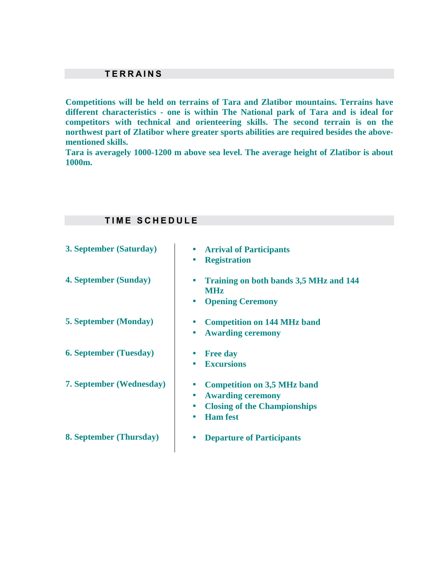## **T E R R A I N S**

**T I M Е S C H E D U L E** 

**Competitions will be held on terrains of Tara and Zlatibor mountains. Terrains have different characteristics - one is within The National park of Tara and is ideal for competitors with technical and orienteering skills. The second terrain is on the northwest part of Zlatibor where greater sports abilities are required besides the abovementioned skills.** 

**Tara is averagely 1000-1200 m above sea level. The average height of Zlatibor is about 1000m.** 

| 3. September (Saturday)         | <b>Arrival of Participants</b><br><b>Registration</b>                                                                                                           |
|---------------------------------|-----------------------------------------------------------------------------------------------------------------------------------------------------------------|
| 4. September (Sunday)           | Training on both bands 3,5 MHz and 144<br><b>MHz</b><br><b>Opening Ceremony</b><br>$\bullet$                                                                    |
| <b>5. September (Monday)</b>    | <b>Competition on 144 MHz band</b><br><b>Awarding ceremony</b>                                                                                                  |
| <b>6. September (Tuesday)</b>   | <b>Free day</b><br><b>Excursions</b>                                                                                                                            |
| <b>7. September (Wednesday)</b> | <b>Competition on 3,5 MHz band</b><br><b>Awarding ceremony</b><br>$\bullet$<br><b>Closing of the Championships</b><br>$\bullet$<br><b>Ham</b> fest<br>$\bullet$ |
| <b>8. September (Thursday)</b>  | <b>Departure of Participants</b>                                                                                                                                |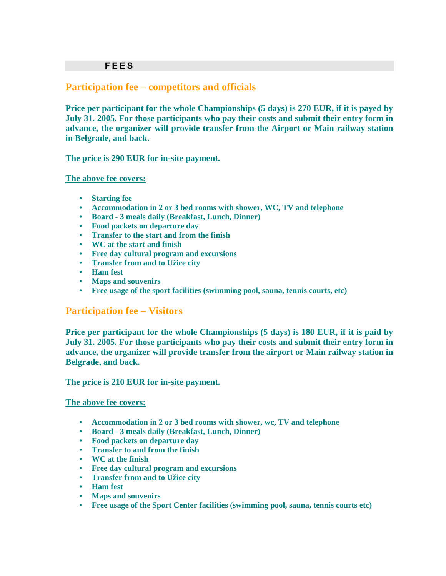## **Participation fee – competitors and officials**

**Price per participant for the whole Championships (5 days) is 270 EUR, if it is payed by July 31. 2005. For those participants who pay their costs and submit their entry form in advance, the organizer will provide transfer from the Airport or Main railway station in Belgrade, and back.** 

**The price is 290 EUR for in-site payment.** 

**The above fee covers:**

- **Starting fee**
- **Accommodation in 2 or 3 bed rooms with shower, WC, TV and telephone**
- **Board 3 meals daily (Breakfast, Lunch, Dinner)**
- **Food packets on departure day**
- **Transfer to the start and from the finish**
- **WC at the start and finish**
- **Free day cultural program and excursions**
- **Transfer from and to Užice city**
- **Ham fest**
- **Maps and souvenirs**
- **Free usage of the sport facilities (swimming pool, sauna, tennis courts, etc)**

## **Participation fee – Visitors**

**Price per participant for the whole Championships (5 days) is 180 EUR, if it is paid by July 31. 2005. For those participants who pay their costs and submit their entry form in advance, the organizer will provide transfer from the airport or Main railway station in Belgrade, and back.** 

**The price is 210 EUR for in-site payment.** 

#### **The above fee covers:**

- **Accommodation in 2 or 3 bed rooms with shower, wc, TV and telephone**
- **Board 3 meals daily (Breakfast, Lunch, Dinner)**
- **Food packets on departure day**
- **Transfer to and from the finish**
- **WC at the finish**
- **Free day cultural program and excursions**
- **Transfer from and to Užice city**
- **Ham fest**
- **Maps and souvenirs**
- **Free usage of the Sport Center facilities (swimming pool, sauna, tennis courts etc)**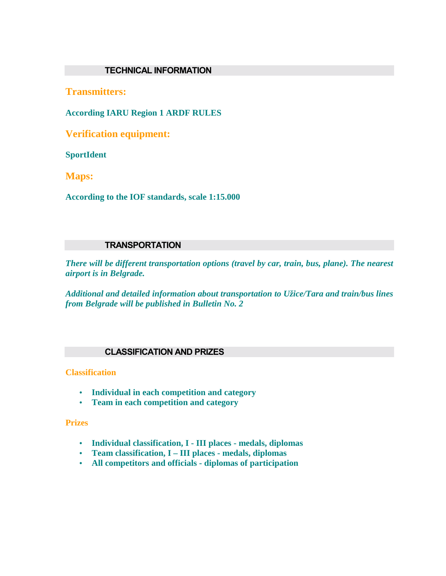## **TECHNICAL INFORMATION**

**Transmitters:** 

**According IARU Region 1 ARDF RULES** 

**Verification equipment:** 

**SportIdent** 

**Maps:** 

**According to the IOF standards, scale 1:15.000** 

## **TRANSPORTATION**

*There will be different transportation options (travel by car, train, bus, plane). The nearest airport is in Belgrade.* 

*Additional and detailed information about transportation to Užice/Tara and train/bus lines from Belgrade will be published in Bulletin No. 2* 

### **CLASSIFICATION AND PRIZES**

**Classification**

- **Individual in each competition and category**
- **Team in each competition and category**

**Prizes**

- **Individual classification, I III places medals, diplomas**
- **Team classification, I III places medals, diplomas**
- **All competitors and officials diplomas of participation**